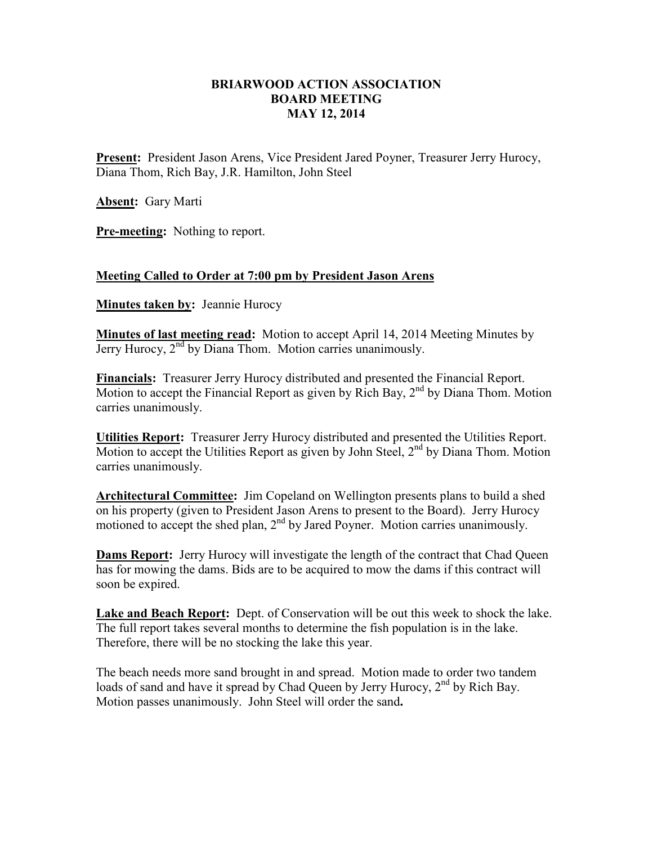## **BRIARWOOD ACTION ASSOCIATION BOARD MEETING MAY 12, 2014**

**Present:** President Jason Arens, Vice President Jared Poyner, Treasurer Jerry Hurocy, Diana Thom, Rich Bay, J.R. Hamilton, John Steel

**Absent:** Gary Marti

**Pre-meeting:** Nothing to report.

## **Meeting Called to Order at 7:00 pm by President Jason Arens**

**Minutes taken by:** Jeannie Hurocy

**Minutes of last meeting read:** Motion to accept April 14, 2014 Meeting Minutes by Jerry Hurocy,  $2<sup>nd</sup>$  by Diana Thom. Motion carries unanimously.

**Financials:** Treasurer Jerry Hurocy distributed and presented the Financial Report. Motion to accept the Financial Report as given by Rich Bay,  $2<sup>nd</sup>$  by Diana Thom. Motion carries unanimously.

**Utilities Report:** Treasurer Jerry Hurocy distributed and presented the Utilities Report. Motion to accept the Utilities Report as given by John Steel,  $2<sup>nd</sup>$  by Diana Thom. Motion carries unanimously.

**Architectural Committee:** Jim Copeland on Wellington presents plans to build a shed on his property (given to President Jason Arens to present to the Board). Jerry Hurocy motioned to accept the shed plan, 2<sup>nd</sup> by Jared Poyner. Motion carries unanimously.

**Dams Report:** Jerry Hurocy will investigate the length of the contract that Chad Queen has for mowing the dams. Bids are to be acquired to mow the dams if this contract will soon be expired.

**Lake and Beach Report:** Dept. of Conservation will be out this week to shock the lake. The full report takes several months to determine the fish population is in the lake. Therefore, there will be no stocking the lake this year.

The beach needs more sand brought in and spread. Motion made to order two tandem loads of sand and have it spread by Chad Queen by Jerry Hurocy,  $2<sup>nd</sup>$  by Rich Bay. Motion passes unanimously. John Steel will order the sand**.**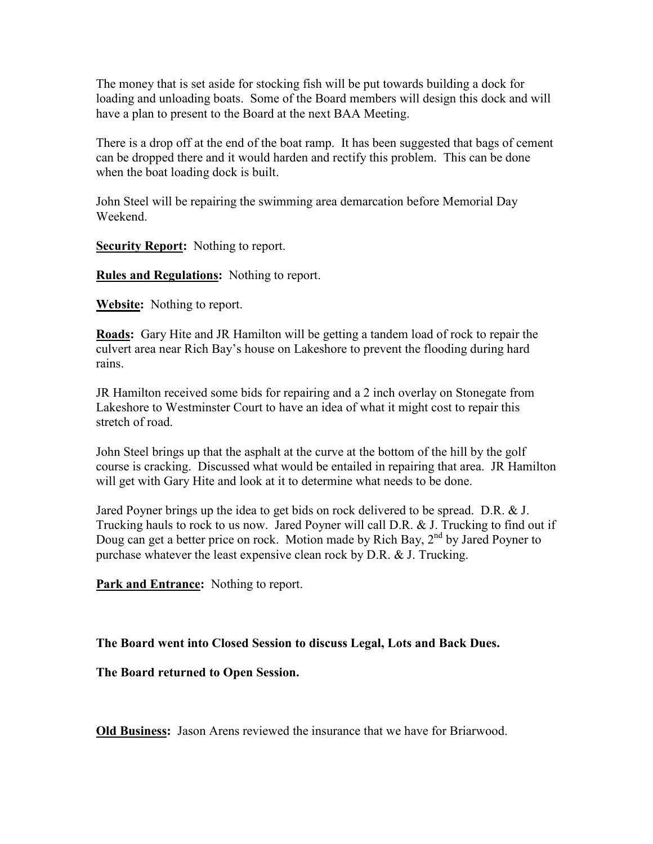The money that is set aside for stocking fish will be put towards building a dock for loading and unloading boats. Some of the Board members will design this dock and will have a plan to present to the Board at the next BAA Meeting.

There is a drop off at the end of the boat ramp. It has been suggested that bags of cement can be dropped there and it would harden and rectify this problem. This can be done when the boat loading dock is built.

John Steel will be repairing the swimming area demarcation before Memorial Day Weekend.

**Security Report:** Nothing to report.

**Rules and Regulations:** Nothing to report.

**Website:** Nothing to report.

**Roads:** Gary Hite and JR Hamilton will be getting a tandem load of rock to repair the culvert area near Rich Bay's house on Lakeshore to prevent the flooding during hard rains.

JR Hamilton received some bids for repairing and a 2 inch overlay on Stonegate from Lakeshore to Westminster Court to have an idea of what it might cost to repair this stretch of road.

John Steel brings up that the asphalt at the curve at the bottom of the hill by the golf course is cracking. Discussed what would be entailed in repairing that area. JR Hamilton will get with Gary Hite and look at it to determine what needs to be done.

Jared Poyner brings up the idea to get bids on rock delivered to be spread. D.R. & J. Trucking hauls to rock to us now. Jared Poyner will call D.R. & J. Trucking to find out if Doug can get a better price on rock. Motion made by Rich Bay, 2<sup>nd</sup> by Jared Poyner to purchase whatever the least expensive clean rock by D.R. & J. Trucking.

**Park and Entrance:** Nothing to report.

**The Board went into Closed Session to discuss Legal, Lots and Back Dues.** 

**The Board returned to Open Session.** 

**Old Business:** Jason Arens reviewed the insurance that we have for Briarwood.